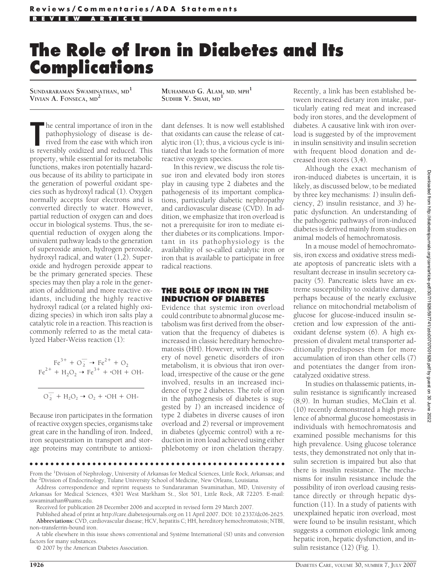# **The Role of Iron in Diabetes and Its Complications**

**SUNDARARAMAN SWAMINATHAN, MD<sup>1</sup> VIVIAN A. FONSECA, MD<sup>2</sup> MUHAMMAD G. ALAM, MD, MPH<sup>1</sup>**

**SUDHIR V. SHAH, MD<sup>1</sup>**

**The central importance of iron in the pathophysiology of disease is derived from the ease with which iron is reversibly oxidized and reduced. This** he central importance of iron in the pathophysiology of disease is derived from the ease with which iron property, while essential for its metabolic functions, makes iron potentially hazardous because of its ability to participate in the generation of powerful oxidant species such as hydroxyl radical (1). Oxygen normally accepts four electrons and is converted directly to water. However, partial reduction of oxygen can and does occur in biological systems. Thus, the sequential reduction of oxygen along the univalent pathway leads to the generation of superoxide anion, hydrogen peroxide, hydroxyl radical, and water (1,2). Superoxide and hydrogen peroxide appear to be the primary generated species. These species may then play a role in the generation of additional and more reactive oxidants, including the highly reactive hydroxyl radical (or a related highly oxidizing species) in which iron salts play a catalytic role in a reaction. This reaction is commonly referred to as the metal catalyzed Haber-Weiss reaction (1):

$$
Fe^{3+} + O_2^- \rightarrow Fe^{2+} + O_2
$$
  
\n
$$
Fe^{2+} + H_2O_2 \rightarrow Fe^{3+} + OH + OH - OH - O_2^- + H_2O_2 \rightarrow O_2 + OH + OH - OH - O_2^-
$$

Because iron participates in the formation of reactive oxygen species, organisms take great care in the handling of iron. Indeed, iron sequestration in transport and storage proteins may contribute to antioxidant defenses. It is now well established that oxidants can cause the release of catalytic iron (1); thus, a vicious cycle is initiated that leads to the formation of more reactive oxygen species.

In this review, we discuss the role tissue iron and elevated body iron stores play in causing type 2 diabetes and the pathogenesis of its important complications, particularly diabetic nephropathy and cardiovascular disease (CVD). In addition, we emphasize that iron overload is not a prerequisite for iron to mediate either diabetes or its complications. Important in its pathophysiology is the availability of so-called catalytic iron or iron that is available to participate in free radical reactions.

## **THE ROLE OF IRON IN THE INDUCTION OF DIABETES**

Evidence that systemic iron overload could contribute to abnormal glucose metabolism was first derived from the observation that the frequency of diabetes is increased in classic hereditary hemochromatosis (HH). However, with the discovery of novel genetic disorders of iron metabolism, it is obvious that iron overload, irrespective of the cause or the gene involved, results in an increased incidence of type 2 diabetes. The role of iron in the pathogenesis of diabetes is suggested by *1*) an increased incidence of type 2 diabetes in diverse causes of iron overload and *2*) reversal or improvement in diabetes (glycemic control) with a reduction in iron load achieved using either phlebotomy or iron chelation therapy.

Recently, a link has been established between increased dietary iron intake, particularly eating red meat and increased body iron stores, and the development of diabetes. A causative link with iron overload is suggested by of the improvement in insulin sensitivity and insulin secretion with frequent blood donation and decreased iron stores (3,4).

Although the exact mechanism of iron-induced diabetes is uncertain, it is likely, as discussed below, to be mediated by three key mechanisms: *1*) insulin deficiency, *2*) insulin resistance, and *3*) hepatic dysfunction. An understanding of the pathogenic pathways of iron-induced diabetes is derived mainly from studies on animal models of hemochromatosis.

In a mouse model of hemochromatosis, iron excess and oxidative stress mediate apoptosis of pancreatic islets with a resultant decrease in insulin secretory capacity (5). Pancreatic islets have an extreme susceptibility to oxidative damage, perhaps because of the nearly exclusive reliance on mitochondrial metabolism of glucose for glucose-induced insulin secretion and low expression of the antioxidant defense system (6). A high expression of divalent metal transporter additionally predisposes them for more accumulation of iron than other cells (7) and potentiates the danger from ironcatalyzed oxidative stress.

In studies on thalassemic patients, insulin resistance is significantly increased (8,9). In human studies, McClain et al. (10) recently demonstrated a high prevalence of abnormal glucose homeostasis in individuals with hemochromatosis and examined possible mechanisms for this high prevalence. Using glucose tolerance tests, they demonstrated not only that insulin secretion is impaired but also that there is insulin resistance. The mechanisms for insulin resistance include the possibility of iron overload causing resistance directly or through hepatic dysfunction (11). In a study of patients with unexplained hepatic iron overload, most were found to be insulin resistant, which suggests a common etiologic link among hepatic iron, hepatic dysfunction, and insulin resistance (12) (Fig. 1).

●●●●●●●●●●●●●●●●●●●●●●●●●●●●●●●●●●●●●●●●●●●●●●●●●

From the <sup>1</sup>Division of Nephrology, University of Arkansas for Medical Sciences, Little Rock, Arkansas; and the <sup>2</sup>Division of Endocrinology, Tulane University School of Medicine, New Orleans, Louisiana.

Address correspondence and reprint requests to Sundararaman Swaminathan, MD, University of Arkansas for Medical Sciences, 4301 West Markham St., Slot 501, Little Rock, AR 72205. E-mail: sswaminathan@uams.edu.

Received for publication 28 December 2006 and accepted in revised form 29 March 2007.

Published ahead of print at http://care.diabetesjournals.org on 11 April 2007. DOI: 10.2337/dc06-2625. **Abbreviations:** CVD, cardiovascular disease; HCV, hepatitis C; HH, hereditory hemochromatosis; NTBI, non–transferrin-bound iron.

A table elsewhere in this issue shows conventional and Système International (SI) units and conversion factors for many substances.

© 2007 by the American Diabetes Association.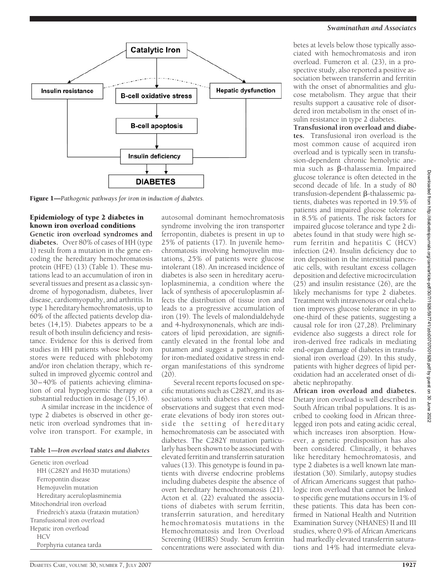# *Swaminathan and Associates*



Figure 1—*Pathogenic pathways for iron in induction of diabetes.*

Epidemiology of type 2 diabetes in known iron overload conditions **Genetic iron overload syndromes and diabetes.** Over 80% of cases of HH (type 1) result from a mutation in the gene encoding the hereditary hemochromatosis protein (HFE) (13) (Table 1). These mutations lead to an accumulation of iron in several tissues and present as a classic syndrome of hypogonadism, diabetes, liver disease, cardiomyopathy, and arthritis. In type 1 hereditary hemochromatosis, up to 60% of the affected patients develop diabetes (14,15). Diabetes appears to be a result of both insulin deficiency and resistance. Evidence for this is derived from studies in HH patients whose body iron stores were reduced with phlebotomy and/or iron chelation therapy, which resulted in improved glycemic control and 30 – 40% of patients achieving elimination of oral hypoglycemic therapy or a substantial reduction in dosage (15,16).

A similar increase in the incidence of type 2 diabetes is observed in other genetic iron overload syndromes that involve iron transport. For example, in

#### **Table 1—***Iron overload states and diabetes*

| Genetic iron overload                   |
|-----------------------------------------|
| HH (C282Y and H63D mutations)           |
| Ferropontin disease                     |
| Hemojuvelin mutation                    |
| Hereditary aceruloplasminemia           |
| Mitochondrial iron overload             |
| Friedreich's ataxia (frataxin mutation) |
| Transfusional iron overload             |
| Hepatic iron overload                   |
| <b>HCV</b>                              |
| Porphyria cutanea tarda                 |

autosomal dominant hemochromatosis syndrome involving the iron transporter ferropontin, diabetes is present in up to 25% of patients (17). In juvenile hemochromatosis involving hemojuvelin mutations, 25% of patients were glucose intolerant (18). An increased incidence of diabetes is also seen in hereditary aceruloplasminemia, a condition where the lack of synthesis of apoceruloplasmin affects the distribution of tissue iron and leads to a progressive accumulation of iron (19). The levels of malondialdehyde and 4-hydroxynonenals, which are indicators of lipid peroxidation, are significantly elevated in the frontal lobe and putamen and suggest a pathogenic role for iron-mediated oxidative stress in endorgan manifestations of this syndrome  $(20).$ 

Several recent reports focused on specific mutations such as C282Y, and its associations with diabetes extend these observations and suggest that even moderate elevations of body iron stores outside the setting of hereditary hemochromatosis can be associated with diabetes. The C282Y mutation particularly has been shown to be associated with elevated ferritin and transferrin saturation values (13). This genotype is found in patients with diverse endocrine problems including diabetes despite the absence of overt hereditary hemochromatosis (21). Acton et al. (22) evaluated the associations of diabetes with serum ferritin, transferrin saturation, and hereditary hemochromatosis mutations in the Hemochromatosis and Iron Overload Screening (HEIRS) Study. Serum ferritin concentrations were associated with diabetes at levels below those typically associated with hemochromatosis and iron overload. Fumeron et al. (23), in a prospective study, also reported a positive association between transferrin and ferritin with the onset of abnormalities and glucose metabolism. They argue that their results support a causative role of disordered iron metabolism in the onset of insulin resistance in type 2 diabetes.

**Transfusional iron overload and diabetes.** Transfusional iron overload is the most common cause of acquired iron overload and is typically seen in transfusion-dependent chronic hemolytic anemia such as  $\beta$ -thalassemia. Impaired glucose tolerance is often detected in the second decade of life. In a study of 80 transfusion-dependent  $\beta$ -thalassemic patients, diabetes was reported in 19.5% of patients and impaired glucose tolerance in 8.5% of patients. The risk factors for impaired glucose tolerance and type 2 diabetes found in that study were high serum ferritin and hepatitis C (HCV) infection (24). Insulin deficiency due to iron deposition in the interstitial pancreatic cells, with resultant excess collagen deposition and defective microcirculation (25) and insulin resistance (26), are the likely mechanisms for type 2 diabetes. Treatment with intravenous or oral chelation improves glucose tolerance in up to one-third of these patients, suggesting a causal role for iron (27,28). Preliminary evidence also suggests a direct role for iron-derived free radicals in mediating end-organ damage of diabetes in transfusional iron overload (29). In this study, patients with higher degrees of lipid peroxidation had an accelerated onset of diabetic nephropathy.

**African iron overload and diabetes.** Dietary iron overload is well described in South African tribal populations. It is ascribed to cooking food in African threelegged iron pots and eating acidic cereal, which increases iron absorption. However, a genetic predisposition has also been considered. Clinically, it behaves like hereditary hemochromatosis, and type 2 diabetes is a well known late manifestation (30). Similarly, autopsy studies of African Americans suggest that pathologic iron overload that cannot be linked to specific gene mutations occurs in 1% of these patients. This data has been confirmed in National Health and Nutrition Examination Survey (NHANES) II and III studies, where 0.9% of African Americans had markedly elevated transferrin saturations and 14% had intermediate eleva-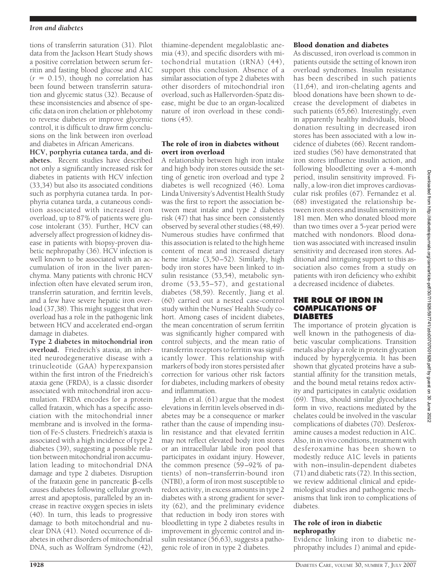#### *Iron and diabetes*

tions of transferrin saturation (31). Pilot data from the Jackson Heart Study shows a positive correlation between serum ferritin and fasting blood glucose and A1C  $(r = 0.15)$ , though no correlation has been found between transferrin saturation and glycemic status (32). Because of these inconsistencies and absence of specific data on iron chelation or phlebotomy to reverse diabetes or improve glycemic control, it is difficult to draw firm conclusions on the link between iron overload and diabetes in African Americans.

**HCV, porphyria cutanea tarda, and diabetes.** Recent studies have described not only a significantly increased risk for diabetes in patients with HCV infection (33,34) but also its associated conditions such as porphyria cutanea tarda. In porphyria cutanea tarda, a cutaneous condition associated with increased iron overload, up to 87% of patients were glucose intolerant (35). Further, HCV can adversely affect progression of kidney disease in patients with biopsy-proven diabetic nephropathy (36). HCV infection is well known to be associated with an accumulation of iron in the liver parenchyma. Many patients with chronic HCV infection often have elevated serum iron, transferrin saturation, and ferritin levels, and a few have severe hepatic iron overload (37,38). This might suggest that iron overload has a role in the pathogenic link between HCV and accelerated end-organ damage in diabetes.

**Type 2 diabetes in mitochondrial iron overload.** Friedreich's ataxia, an inherited neurodegenerative disease with a trinucleotide (GAA) hyperexpansion within the first intron of the Friedreich's ataxia gene (FRDA), is a classic disorder associated with mitochondrial iron accumulation. FRDA encodes for a protein called frataxin, which has a specific association with the mitochondrial inner membrane and is involved in the formation of Fe-S clusters. Friedreich's ataxia is associated with a high incidence of type 2 diabetes (39), suggesting a possible relation between mitochondrial iron accumulation leading to mitochondrial DNA damage and type 2 diabetes. Disruption of the frataxin gene in pancreatic  $\beta$ -cells causes diabetes following cellular growth arrest and apoptosis, paralleled by an increase in reactive oxygen species in islets (40). In turn, this leads to progressive damage to both mitochondrial and nuclear DNA (41). Noted occurrence of diabetes in other disorders of mitochondrial DNA, such as Wolfram Syndrome (42),

thiamine-dependent megaloblastic anemia (43), and specific disorders with mitochondrial mutation (tRNA) (44), support this conclusion. Absence of a similar association of type 2 diabetes with other disorders of mitochondrial iron overload, such as Hallervorden-Spatz disease, might be due to an organ-localized nature of iron overload in these conditions (45).

## The role of iron in diabetes without overt iron overload

A relationship between high iron intake and high body iron stores outside the setting of genetic iron overload and type 2 diabetes is well recognized (46). Loma Linda University's Adventist Health Study was the first to report the association between meat intake and type 2 diabetes risk (47) that has since been consistently observed by several other studies (48,49). Numerous studies have confirmed that this association is related to the high heme content of meat and increased dietary heme intake (3,50–52). Similarly, high body iron stores have been linked to insulin resistance (53,54), metabolic syndrome (53,55–57), and gestational diabetes (58,59). Recently, Jiang et al. (60) carried out a nested case-control study within the Nurses' Health Study cohort. Among cases of incident diabetes, the mean concentration of serum ferritin was significantly higher compared with control subjects, and the mean ratio of transferrin receptors to ferritin was significantly lower. This relationship with markers of body iron stores persisted after correction for various other risk factors for diabetes, including markers of obesity and inflammation.

Jehn et al. (61) argue that the modest elevations in ferritin levels observed in diabetes may be a consequence or marker rather than the cause of impending insulin resistance and that elevated ferritin may not reflect elevated body iron stores or an intracellular labile iron pool that participates in oxidant injury. However, the common presence (59 –92% of patients) of non–transferrin-bound iron (NTBI), a form of iron most susceptible to redox activity, in excess amounts in type 2 diabetes with a strong gradient for severity (62), and the preliminary evidence that reduction in body iron stores with bloodletting in type 2 diabetes results in improvement in glycemic control and insulin resistance (56,63), suggests a pathogenic role of iron in type 2 diabetes.

# Blood donation and diabetes

As discussed, iron overload is common in patients outside the setting of known iron overload syndromes. Insulin resistance has been described in such patients (11,64), and iron-chelating agents and blood donations have been shown to decrease the development of diabetes in such patients (65,66). Interestingly, even in apparently healthy individuals, blood donation resulting in decreased iron stores has been associated with a low incidence of diabetes (66). Recent randomized studies (56) have demonstrated that iron stores influence insulin action, and following bloodletting over a 4-month period, insulin sensitivity improved. Finally, a low-iron diet improves cardiovascular risk profiles (67). Fernandez et al. (68) investigated the relationship between iron stores and insulin sensitivity in 181 men. Men who donated blood more than two times over a 5-year period were matched with nondonors. Blood donation was associated with increased insulin sensitivity and decreased iron stores. Additional and intriguing support to this association also comes from a study on patients with iron deficiency who exhibit a decreased incidence of diabetes.

# **THE ROLE OF IRON IN COMPLICATIONS OF DIABETES**

The importance of protein glycation is well known in the pathogenesis of diabetic vascular complications. Transition metals also play a role in protein glycation induced by hyperglycemia. It has been shown that glycated proteins have a substantial affinity for the transition metals, and the bound metal retains redox activity and participates in catalytic oxidation (69). Thus, should similar glycochelates form in vivo, reactions mediated by the chelates could be involved in the vascular complications of diabetes (70). Desferoxamine causes a modest reduction in A1C. Also, in in vivo conditions, treatment with desferoxamine has been shown to modestly reduce A1C levels in patients with non–insulin-dependent diabetes  $(71)$  and diabetic rats  $(72)$ . In this section, we review additional clinical and epidemiological studies and pathogenic mechanisms that link iron to complications of diabetes.

## The role of iron in diabetic nephropathy

Evidence linking iron to diabetic nephropathy includes *1*) animal and epide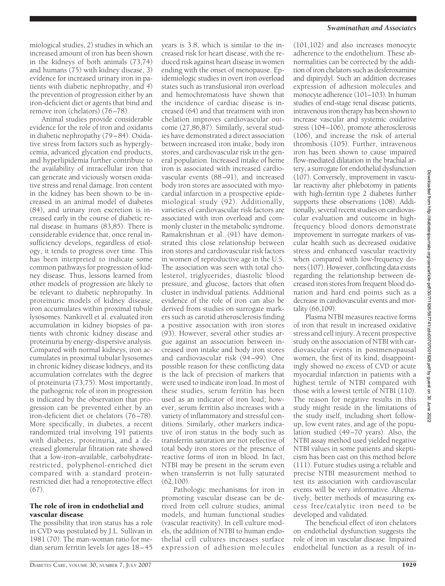miological studies, *2*) studies in which an increased amount of iron has been shown in the kidneys of both animals (73,74) and humans (75) with kidney disease, *3*) evidence for increased urinary iron in patients with diabetic nephropathy, and *4*) the prevention of progression either by an iron-deficient diet or agents that bind and remove iron (chelators) (76–78).

Animal studies provide considerable evidence for the role of iron and oxidants in diabetic nephropathy (79 – 84). Oxidative stress from factors such as hyperglycemia, advanced glycation end products, and hyperlipidemia further contribute to the availability of intracellular iron that can generate and viciously worsen oxidative stress and renal damage. Iron content in the kidney has been shown to be increased in an animal model of diabetes (84), and urinary iron excretion is increased early in the course of diabetic renal disease in humans (83,85). There is considerable evidence that, once renal insufficiency develops, regardless of etiology, it tends to progress over time. This has been interpreted to indicate some common pathways for progression of kidney disease. Thus, lessons learned from other models of progression are likely to be relevant to diabetic nephropathy. In proteinuric models of kidney disease, iron accumulates within proximal tubule lysosomes. Nankivell et al. evaluated iron accumulation in kidney biopsies of patients with chronic kidney disease and proteinuria by energy-dispersive analysis. Compared with normal kidneys, iron accumulates in proximal tubular lysosomes in chronic kidney disease kidneys, and its accumulation correlates with the degree of proteinuria (73,75). Most importantly, the pathogenic role of iron in progression is indicated by the observation that progression can be prevented either by an iron-deficient diet or chelators (76 –78). More specifically, in diabetes, a recent randomized trial involving 191 patients with diabetes, proteinuria, and a decreased glomerular filtration rate showed that a low-iron–available, carbohydraterestricted, polyphenol-enriched diet compared with a standard proteinrestricted diet had a renoprotective effect (67).

#### The role of iron in endothelial and vascular disease

The possibility that iron status has a role in CVD was postulated by J.L. Sullivan in 1981 (70). The man-woman ratio for median serum ferritin levels for ages 18 – 45 years is 3.8, which is similar to the increased risk for heart disease, with the reduced risk against heart disease in women ending with the onset of menopause. Epidemiologic studies in overt iron overload states such as transfusional iron overload and hemochromatosis have shown that the incidence of cardiac disease is increased (64) and that treatment with iron chelation improves cardiovascular outcome (27,86,87). Similarly, several studies have demonstrated a direct association between increased iron intake, body iron stores, and cardiovascular risk in the general population. Increased intake of heme iron is associated with increased cardiovascular events (88 –91), and increased body iron stores are associated with myocardial infarction in a prospective epidemiological study (92). Additionally, varieties of cardiovascular risk factors are associated with iron overload and commonly cluster in the metabolic syndrome. Ramakrishnan et al. (91) have demonstrated this close relationship between iron stores and cardiovascular risk factors in women of reproductive age in the U.S. The association was seen with total cholesterol, triglycerides, diastolic blood pressure, and glucose, factors that often cluster in individual patients. Additional evidence of the role of iron can also be derived from studies on surrogate markers such as carotid atherosclerosis finding a positive association with iron stores (93). However, several other studies argue against an association between increased iron intake and body iron stores and cardiovascular risk (94 –99). One possible reason for these conflicting data is the lack of precision of markers that were used to indicate iron load. In most of these studies, serum ferritin has been used as an indicator of iron load; however, serum ferritin also increases with a variety of inflammatory and stressful conditions. Similarly, other markers indicative of iron status in the body such as transferrin saturation are not reflective of total body iron stores or the presence of reactive forms of iron in blood. In fact, NTBI may be present in the serum even when transferrin is not fully saturated  $(62,100)$ .

Pathologic mechanisms for iron in promoting vascular disease can be derived from cell culture studies, animal models, and human functional studies (vascular reactivity). In cell culture models, the addition of NTBI to human endothelial cell cultures increases surface expression of adhesion molecules

#### *Swaminathan and Associates*

(101,102) and also increases monocyte adherence to the endothelium. These abnormalities can be corrected by the addition of iron chelators such as desferoxamine and dipirydyl. Such an addition decreases expression of adhesion molecules and monocyte adherence (101–103). In human studies of end-stage renal disease patients, intravenous iron therapy has been shown to increase vascular and systemic oxidative stress (104-106), promote atherosclerosis (106), and increase the risk of arterial thrombosis (105). Further, intravenous iron has been shown to cause impaired flow-mediated dilatation in the brachial artery, a surrogate for endothelial dysfunction (107). Conversely, improvement in vascular reactivity after phlebotomy in patients with high-ferritin type 2 diabetes further supports these observations (108). Additionally, several recent studies on cardiovascular evaluation and outcome in highfrequency blood donors demonstrate improvement in surrogate markers of vascular health such as decreased oxidative stress and enhanced vascular reactivity when compared with low-frequency donors (107). However, conflicting data exists regarding the relationship between decreased iron stores from frequent blood donation and hard end points such as a decrease in cardiovascular events and mortality (66,109).

Plasma NTBI measures reactive forms of iron that result in increased oxidative stress and cell injury. A recent prospective study on the association of NTBI with cardiovascular events in postmenopausal women, the first of its kind, disappointingly showed no excess of CVD or acute myocardial infarction in patients with a highest tertile of NTBI compared with those with a lowest tertile of NTBI (110). The reason for negative results in this study might reside in the limitations of the study itself, including short followup, low event rates, and age of the population studied (49 –70 years). Also, the NTBI assay method used yielded negative NTBI values in some patients and skepticism has been cast on this method before (111). Future studies using a reliable and precise NTBI measurement method to test its association with cardiovascular events will be very informative. Alternatively, better methods of measuring excess free/catalytic iron need to be developed and validated.

The beneficial effect of iron chelators on endothelial dysfunction suggests the role of iron in vascular disease. Impaired endothelial function as a result of in-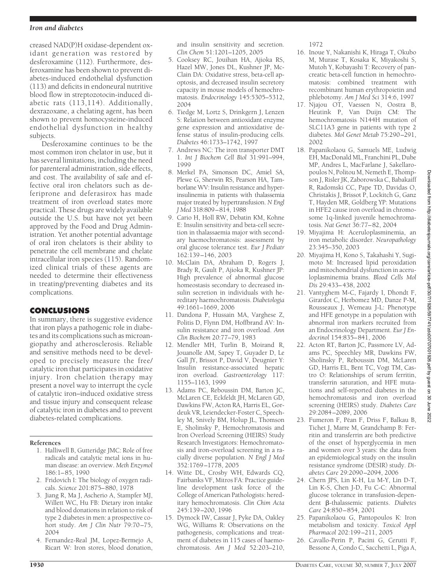#### *Iron and diabetes*

creased NAD(P)H oxidase-dependent oxidant generation was restored by desferoxamine (112). Furthermore, desferoxamine has been shown to prevent diabetes-induced endothelial dysfunction (113) and deficits in endoneural nutritive blood flow in streptozotocin-induced diabetic rats (113,114). Additionally, dexrazoxane, a chelating agent, has been shown to prevent homocysteine-induced endothelial dysfunction in healthy subjects.

Desferoxamine continues to be the most common iron chelator in use, but it has several limitations, including the need for parenteral administration, side effects, and cost. The availability of safe and effective oral iron chelators such as deferiprone and deferasirox has made treatment of iron overload states more practical. These drugs are widely available outside the U.S. but have not yet been approved by the Food and Drug Administration. Yet another potential advantage of oral iron chelators is their ability to penetrate the cell membrane and chelate intracellular iron species (115). Randomized clinical trials of these agents are needed to determine their effectiveness in treating/preventing diabetes and its complications.

# **CONCLUSIONS**

In summary, there is suggestive evidence that iron plays a pathogenic role in diabetes and its complications such as microangiopathy and atherosclerosis. Reliable and sensitive methods need to be developed to precisely measure the free/ catalytic iron that participates in oxidative injury. Iron chelation therapy may present a novel way to interrupt the cycle of catalytic iron–induced oxidative stress and tissue injury and consequent release of catalytic iron in diabetes and to prevent diabetes-related complications.

# **References**

- 1. Halliwell B, Gutteridge JMC: Role of free radicals and catalytic metal ions in human disease: an overview. *Meth Enzymol* 186:1– 85, 1990
- 2. Fridovich I: The biology of oxygen radicals. *Science* 201:875– 880, 1978
- 3. Jiang R, Ma J, Ascherio A, Stampfer MJ, Willett WC, Hu FB: Dietary iron intake and blood donations in relation to risk of type 2 diabetes in men: a prospective cohort study. *Am J Clin Nutr* 79:70 –75, 2004
- 4. Fernandez-Real JM, Lopez-Bermejo A, Ricart W: Iron stores, blood donation,

and insulin sensitivity and secretion. *Clin Chem* 51:1201–1205, 2005

- 5. Cooksey RC, Jouihan HA, Ajioka RS, Hazel MW, Jones DL, Kushner JP, Mc-Clain DA: Oxidative stress, beta-cell apoptosis, and decreased insulin secretory capacity in mouse models of hemochromatosis. *Endocrinology* 145:5305–5312, 2004
- 6. Tiedge M, Lortz S, Drinkgern J, Lenzen S: Relation between antioxidant enzyme gene expression and antioxidative defense status of insulin-producing cells. *Diabetes* 46:1733–1742, 1997
- 7. Andrews NC: The iron transporter DMT 1. *Int J Biochem Cell Biol* 31:991–994, 1999
- 8. Merkel PA, Simonson DC, Amiel SA, Plewe G, Sherwin RS, Pearson HA, Tamborlane WV: Insulin resistance and hyperinsulinemia in patients with thalassemia major treated by hypertransfusion. *N Engl J Med* 318:809 –814, 1988
- 9. Cario H, Holl RW, Debatin KM, Kohne E: Insulin sensitivity and beta-cell secretion in thalassaemia major with secondary haemochromatosis: assessment by oral glucose tolerance test. *Eur J Pediatr* 162:139 –146, 2003
- 10. McClain DA, Abraham D, Rogers J, Brady R, Gault P, Ajioka R, Kushner JP: High prevalence of abnormal glucose homeostasis secondary to decreased insulin secretion in individuals with hereditary haemochromatosis.*Diabetologia* 49:1661–1669, 2006
- 11. Dandona P, Hussain MA, Varghese Z, Politis D, Flynn DM, Hoffbrand AV: Insulin resistance and iron overload. *Ann Clin Biochem* 20:77–79, 1983
- 12. Mendler MH, Turlin B, Moirand R, Jouanolle AM, Sapey T, Guyader D, Le Gall JY, Brissot P, David V, Deugnier Y: Insulin resistance-associated hepatic iron overload. *Gastroenterology* 117: 1155–1163, 1999
- 13. Adams PC, Reboussin DM, Barton JC, McLaren CE, Eckfeldt JH, McLaren GD, Dawkins FW, Acton RA, Harris EL, Gordeuk VR, Leiendecker-Foster C, Speechley M, Snively BM, Holup JL, Thomson E, Sholinsky P, Hemochromatosis and Iron Overload Screening (HEIRS) Study Research Investigators: Hemochromatosis and iron-overload screening in a racially diverse population. *N Engl J Med* 352:1769 –1778, 2005
- 14. Witte DL, Crosby WH, Edwards CQ, Fairbanks VF, Mitros FA: Practice guideline development task force of the College of American Pathologists: hereditary hemochromatosis. *Clin Chim Acta* 245:139 –200, 1996
- 15. Dymock IW, Cassar J, Pyke DA, Oakley WG, Williams R: Observations on the pathogenesis, complications and treatment of diabetes in 115 cases of haemochromatosis. *Am J Med* 52:203–210,

1972

- 16. Inoue Y, Nakanishi K, Hiraga T, Okubo M, Murase T, Kosaka K, Miyakoshi S, Mutoh Y, Kobayashi T: Recovery of pancreatic beta-cell function in hemochromatosis: combined treatment with recombinant human erythropoietin and phlebotomy. *Am J Med Sci* 314:6, 1997
- 17. Njajou OT, Vaessen N, Oostra B, Heutink P, Van Duijn CM: The hemochromatosis N144H mutation of SLC11A3 gene in patients with type 2 diabetes. *Mol Genet Metab* 75:290 –291, 2002
- 18. Papanikolaou G, Samuels ME, Ludwig EH, MacDonald ML, Franchini PL, Dube MP, Andres L, MacFarlane J, Sakellaropoulos N, Politou M, Nemeth E, Thompson J, Risler JK, Zaborowska C, Babakaiff R, Radomski CC, Pape TD, Davidas O, Christakis J, Brissot P, Lockitch G, Ganz T, Hayden MR, Goldberg YP: Mutations in HFE2 cause iron overload in chromosome 1q-linked juvenile hemochromatosis. *Nat Genet* 36:77– 82, 2004
- 19. Miyajima H: Aceruloplasminemia, an iron metabolic disorder. *Neuropathology* 23:345–350, 2003
- 20. Miyajima H, Kono S, Takahashi Y, Sugimoto M: Increased lipid peroxidation and mitochondrial dysfunction in aceruloplasminemia brains. *Blood Cells Mol Dis* 29:433– 438, 2002
- 21. Vantyghem M-C, Fajardy I, Dhondt F, Girardot C, Herbomez MD, Danze P-M, Rousseaux J, Wemeau J-L: Phenotype and HFE genotype in a population with abnormal iron markers recruited from an Endocrinology Department. *Eur J Endocrinol* 154:835– 841, 2006
- 22. Acton RT, Barton JC, Passmore LV, Adams PC, Speechley MR, Dawkins FW, Sholinsky P, Reboussin DM, McLaren GD, Harris EL, Bent TC, Vogt TM, Castro O: Relationships of serum ferritin, transferrin saturation, and HFE mutations and self-reported diabetes in the hemochromatosis and iron overload screening (HEIRS) study. *Diabetes Care* 29:2084 –2089, 2006
- 23. Fumeron F, Péan F, Driss F, Balkau B, Tichet J, Marre M, Grandchamp B: Ferritin and transferrin are both predictive of the onset of hyperglycemia in men and women over 3 years: the data from an epidemiological study on the insulin resistance syndrome (DESIR) study. *Diabetes Care* 29:2090 –2094, 2006
- 24. Chern JPS, Lin K-H, Lu M-Y, Lin D-T, Lin K-S, Chen J-D, Fu C-C: Abnormal glucose tolerance in transfusion-dependent  $\beta$ -thalassemic patients. *Diabetes Care* 24:850 – 854, 2001
- 25. Papanikolaou G, Pantopoulos K: Iron metabolism and toxicity. *Toxicol Appl Pharmacol* 202:199 –211, 2005
- 26. Cavallo-Perin P, Pacini G, Cerutti F, Bessone A, Condo C, Sacchetti L, Piga A,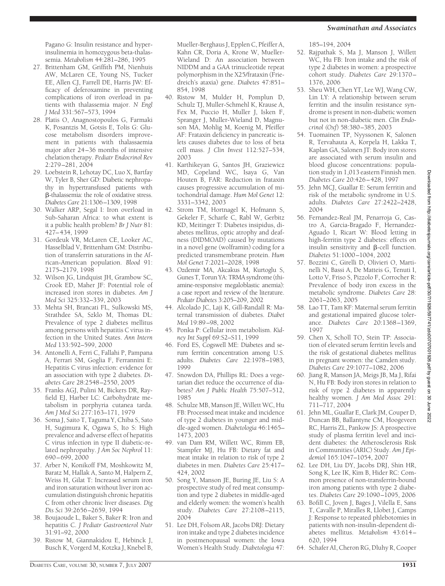Pagano G: Insulin resistance and hyperinsulinemia in homozygous beta-thalassemia. *Metabolism* 44:281–286, 1995

- 27. Brittenham GM, Griffith PM, Nienhuis AW, McLaren CE, Young NS, Tucker EE, Allen CJ, Farrell DE, Harris JW: Efficacy of deferoxamine in preventing complications of iron overload in patients with thalassemia major. *N Engl J Med* 331:567–573, 1994
- 28. Platis O, Anagnostopoulos G, Farmaki K, Posantzis M, Gotsis E, Tolis G: Glucose metabolism disorders improvement in patients with thalassaemia major after 24 –36 months of intensive chelation therapy. *Pediatr Endocrinol Rev* 2:279 –281, 2004
- 29. Loebstein R, Lehotay DC, Luo X, Bartfay W, Tyler B, Sher GD: Diabetic nephropathy in hypertransfused patients with -thalassemia: the role of oxidative stress. *Diabetes Care* 21:1306 –1309, 1998
- 30. Walker ARP, Segal I: Iron overload in Sub-Saharan Africa: to what extent is it a public health problem? *Br J Nutr* 81: 427– 434, 1999
- 31. Gordeuk VR, McLaren CE, Looker AC, Hasselblad V, Brittenham GM: Distribution of transferrin saturations in the African-American population. *Blood* 91: 2175–2179, 1998
- 32. Wilson JG, Lindquist JH, Grambow SC, Crook ED, Maher JF: Potential role of increased iron stores in diabetes. *Am J Med Sci* 325:332–339, 2003
- 33. Mehta SH, Brancati FL, Sulkowski MS, Strathdee SA, Szklo M, Thomas DL: Prevalence of type 2 diabetes mellitus among persons with hepatitis C virus infection in the United States. *Ann Intern Med* 133:592–599, 2000
- 34. Antonelli A, Ferri C, Fallahi P, Pampana A, Ferrari SM, Goglia F, Ferrannini E: Hepatitis C virus infection: evidence for an association with type 2 diabetes. *Diabetes Care* 28:2548 –2550, 2005
- 35. Franks AGJ, Pulini M, Bickers DR, Rayfield EJ, Harber LC: Carbohydrate metabolism in porphyria cutanea tarda. *Am J Med Sci* 277:163–171, 1979
- 36. Soma J, Saito T, Taguma Y, Chiba S, Sato H, Sugimura K, Ogawa S, Ito S: High prevalence and adverse effect of hepatitis C virus infection in type II diabetic-related nephropathy. *J Am Soc Nephrol* 11: 690 – 699, 2000
- 37. Arber N, Konikoff FM, Moshkowitz M, Baratz M, Hallak A, Santo M, Halpern Z, Weiss H, Gilat T: Increased serum iron and iron saturation without liver iron accumulation distinguish chronic hepatitis C from other chronic liver diseases. *Dig Dis Sci* 39:2656 –2659, 1994
- 38. Boujaoude L, Baker S, Baker R: Iron and hepatitis C. *J Pediatr Gastroenterol Nutr* 31:91–92, 2000
- 39. Ristow M, Giannakidou E, Hebinck J, Busch K, Vorgerd M, Kotzka J, Knebel B,

Mueller-Berghaus J, Epplen C, Pfeiffer A, Kahn CR, Doria A, Krone W, Mueller-Wieland D: An association between NIDDM and a GAA trinucleotide repeat polymorphism in the X25/frataxin (Friedreich's ataxia) gene. *Diabetes* 47:851– 854, 1998

- 40. Ristow M, Mulder H, Pomplun D, Schulz TJ, Muller-Schmehl K, Krause A, Fex M, Puccio H, Muller J, Isken F, Spranger J, Muller-Wieland D, Magnuson MA, Mohlig M, Koenig M, Pfeiffer AF: Frataxin deficiency in pancreatic islets causes diabetes due to loss of beta cell mass. *J Clin Invest* 112:527–534, 2003
- 41. Karthikeyan G, Santos JH, Graziewicz MD, Copeland WC, Isaya G, Van Houten B, FAR: Reduction in frataxin causes progressive accumulation of mitochondrial damage. *Hum Mol Genet* 12: 3331–3342, 2003
- 42. Strom TM, Hortnagel K, Hofmann S, Gekeler F, Scharfe C, Rabl W, Gerbitz KD, Meitinger T: Diabetes insipidus, diabetes mellitus, optic atrophy and deafness (DIDMOAD) caused by mutations in a novel gene (wolframin) coding for a predicted transmembrane protein. *Hum Mol Genet* 7:2021–2028, 1998
- 43. Ozdemir MA, Akcakus M, Kurtoglu S, Gunes T, Torun YA: TRMA syndrome (thiamine-responsive megaloblastic anemia): a case report and review of the literature. *Pediatr Diabetes* 3:205–209, 2002
- 44. Alcolado JC, Laji K, Gill-Randall R: Maternal transmission of diabetes. *Diabet Med* 19:89 –98, 2002
- 45. Ponka P: Cellular iron metabolism. *Kidney Int Suppl* 69:S2–S11, 1999
- 46. Ford ES, Cogswell ME: Diabetes and serum ferritin concentration among U.S. adults. *Diabetes Care* 22:1978 –1983, 1999
- 47. Snowdon DA, Phillips RL: Does a vegetarian diet reduce the occurrence of diabetes? *Am J Public Health* 75:507–512, 1985
- 48. Schulze MB, Manson JE, Willett WC, Hu FB: Processed meat intake and incidence of type 2 diabetes in younger and middle-aged women. *Diabetologia* 46:1465– 1473, 2003
- 49. van Dam RM, Willett WC, Rimm EB, Stampfer MJ, Hu FB: Dietary fat and meat intake in relation to risk of type 2 diabetes in men. *Diabetes Care* 25:417– 424, 2002
- 50. Song Y, Manson JE, Buring JE, Liu S: A prospective study of red meat consumption and type 2 diabetes in middle-aged and elderly women: the women's health study. *Diabetes Care* 27:2108 –2115, 2004
- 51. Lee DH, Folsom AR, Jacobs DRJ: Dietary iron intake and type 2 diabetes incidence in postmenopausal women: the Iowa Women's Health Study. *Diabetologia* 47:

185–194, 2004

- 52. Rajpathak S, Ma J, Manson J, Willett WC, Hu FB: Iron intake and the risk of type 2 diabetes in women: a prospective cohort study. *Diabetes Care* 29:1370 – 1376, 2006
- 53. Sheu WH, Chen YT, Lee WJ, Wang CW, Lin LY: A relationship between serum ferritin and the insulin resistance syndrome is present in non-diabetic women but not in non-diabetic men. *Clin Endocrinol (Oxf*) 58:380 –385, 2003
- 54. Tuomainen TP, Nyyssonen K, Salonen R, Tervahauta A, Korpela H, Lakka T, Kaplan GA, Salonen JT: Body iron stores are associated with serum insulin and blood glucose concentrations: population study in 1,013 eastern Finnish men. *Diabetes Care* 20:426 – 428, 1997
- 55. Jehn MCJ, Guallar E: Serum ferritin and risk of the metabolic syndrome in U.S. adults. *Diabetes Care* 27:2422–2428, 2004
- 56. Fernandez-Real JM, Penarroja G, Castro A, Garcia-Bragado F, Hernandez-Aguado I, Ricart W: Blood letting in high-ferritin type 2 diabetes: effects on insulin sensitivity and  $\beta$ -cell function. *Diabetes* 51:1000 –1004, 2002
- 57. Bozzini C, Girelli D, Olivieri O, Martinelli N, Bassi A, De Matteis G, Tenuti I, Lotto V, Friso S, Pizzolo F, Corrocher R: Prevalence of body iron excess in the metabolic syndrome. *Diabetes Care* 28: 2061–2063, 2005
- 58. Lao TT, Tam KF: Maternal serum ferritin and gestational impaired glucose tolerance. *Diabetes Care* 20:1368 –1369, 1997
- 59. Chen X, Scholl TO, Stein TP: Association of elevated serum ferritin levels and the risk of gestational diabetes mellitus in pregnant women: the Camden study. *Diabetes Care* 29:1077–1082, 2006
- 60. Jiang R, Manson JA, Meigs JB, Ma J, Rifai N, Hu FB: Body iron stores in relation to risk of type 2 diabetes in apparently healthy women. *J Am Med Assoc* 291: 711–717, 2004
- 61. Jehn ML, Guallar E, Clark JM, Couper D, Duncan BB, Ballantyne CM, Hoogeveen RC, Harris ZL, Pankow JS: A prospective study of plasma ferritin level and incident diabetes: the Atherosclerosis Risk in Communities (ARIC) Study. *Am J Epidemiol* 165:1047–1054, 2007
- 62. Lee DH, Liu DY, Jacobs DRJ, Shin HR, Song K, Lee IK, Kim B, Hider RC: Common presence of non-transferrin-bound iron among patients with type 2 diabetes. *Diabetes Care* 29:1090 –1095, 2006
- 63. Bofill C, Joven J, Bages J, Vilella E, Sans T, Cavalle P, Miralles R, Llobet J, Camps J: Response to repeated phlebotomies in patients with non-insulin-dependent diabetes mellitus. *Metabolism* 43:614 – 620, 1994
- 64. Schafer AI, Cheron RG, Dluhy R, Cooper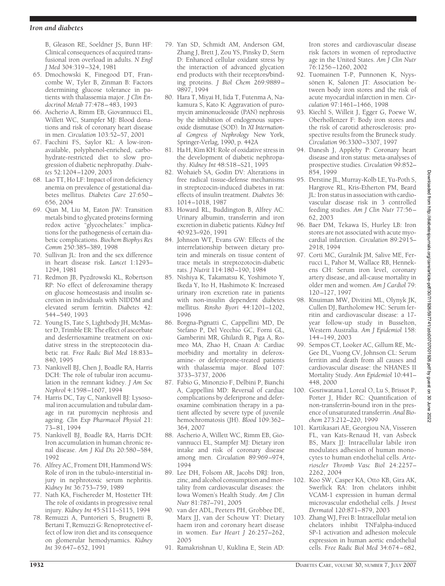B, Gleason RE, Soeldner JS, Bunn HF: Clinical consequences of acquired transfusional iron overload in adults. *N Engl J Med* 304:319 –324, 1981

- 65. Dmochowski K, Finegood DT, Francombe W, Tyler B, Zinman B: Factors determining glucose tolerance in patients with thalassemia major. *J Clin Endocrinol Metab* 77:478 – 483, 1993
- 66. Ascherio A, Rimm EB, Giovannucci EL, Willett WC, Stampfer MJ: Blood donations and risk of coronary heart disease in men. *Circulation* 103:52–57, 2001
- 67. Facchini FS, Saylor KL: A low-ironavailable, polyphenol-enriched, carbohydrate-restricted diet to slow progression of diabetic nephropathy. *Diabetes* 52:1204 –1209, 2003
- 68. Lao TT, Ho LF: Impact of iron deficiency anemia on prevalence of gestational diabetes mellitus. *Diabetes Care* 27:650 – 656, 2004
- 69. Qian M, Liu M, Eaton JW: Transition metals bind to glycated proteins forming redox active "glycochelates:" implications for the pathogenesis of certain diabetic complications. *Biochem Biophys Res Comm* 250:385–389, 1998
- 70. Sullivan JL: Iron and the sex difference in heart disease risk. *Lancet* 1:1293– 1294, 1981
- 71. Redmon JB, Pyzdrowski KL, Robertson RP: No effect of deferoxamine therapy on glucose homeostasis and insulin secretion in individuals with NIDDM and elevated serum ferritin. *Diabetes* 42: 544 –549, 1993
- 72. Young IS, Tate S, Lightbody JH, McMaster D, Trimble ER: The effect of ascorbate and desferrioxamine treatment on oxidative stress in the streptozotocin diabetic rat. *Free Radic Biol Med* 18:833– 840, 1995
- 73. Nankivell BJ, Chen J, Boadle RA, Harris DCH: The role of tubular iron accumulation in the remnant kidney. *J Am Soc Nephrol* 4:1598 –1607, 1994
- 74. Harris DC, Tay C, Nankivell BJ: Lysosomal iron accumulation and tubular damage in rat puromycin nephrosis and ageing. *Clin Exp Pharmacol Physiol* 21: 73– 81, 1994
- 75. Nankivell BJ, Boadle RA, Harris DCH: Iron accumulation in human chronic renal disease. *Am J Kid Dis* 20:580 –584, 1992
- 76. Alfrey AC, Froment DH, Hammond WS: Role of iron in the tubulo-interstitial injury in nephrotoxic serum nephritis. *Kidney Int* 36:753–759, 1989
- 77. Nath KA, Fischereder M, Hostetter TH: The role of oxidants in progressive renal injury. *Kidney Int* 45:S111–S115, 1994
- 78. Remuzzi A, Puntorieri S, Brugnetti B, Bertani T, Remuzzi G: Renoprotective effect of low iron diet and its consequence on glomerular hemodynamics. *Kidney Int* 39:647– 652, 1991
- 79. Yan SD, Schmidt AM, Anderson GM, Zhang J, Brett J, Zou YS, Pinsky D, Stern D: Enhanced cellular oxidant stress by the interaction of advanced glycation end products with their receptors/binding proteins. *J Biol Chem* 269:9889 – 9897, 1994
- 80. Hara T, Miyai H, Iida T, Futenma A, Nakamura S, Kato K: Aggravation of puromycin aminonucleoside (PAN) nephrosis by the inhibition of endogenous superoxide dismutase (SOD). In *XI International Congress of Nephrology* New York, Springer-Verlag, 1990, p. 442A
- 81. Ha H, Kim KH: Role of oxidative stress in the development of diabetic nephropathy. *Kidney Int* 48:S18 –S21, 1995
- 82. Wohaieb SA, Godin DV: Alterations in free radical tissue-defense mechanisms in streptozocin-induced diabetes in rat: effects of insulin treatment. *Diabetes* 36: 1014 –1018, 1987
- 83. Howard RL, Buddington B, Alfrey AC: Urinary albumin, transferrin and iron excretion in diabetic patients. *Kidney Intl* 40:923–926, 1991
- 84. Johnson WT, Evans GW: Effects of the interrelationship between dietary protein and minerals on tissue content of trace metals in streptozotocin-diabetic rats. *J Nutrit* 114:180 –190, 1984
- 85. Nishiya K, Takamatsu K, Yoshimoto Y, Ikeda Y, Ito H, Hashimoto K: Increased urinary iron excretion rate in patients with non-insulin dependent diabetes mellitus. *Rinsho Byori* 44:1201–1202, 1996
- 86. Borgna-Pignatti C, Cappellini MD, De Stefano P, Del Vecchio GC, Forni GL, Gamberini MR, Ghilardi R, Piga A, Romeo MA, Zhao H, Cnaan A: Cardiac morbidity and mortality in deferoxamine- or deferiprone-treated patients with thalassemia major. *Blood* 107: 3733–3737, 2006
- 87. Fabio G, Minonzio F, Delbini P, Bianchi A, Cappellini MD: Reversal of cardiac complications by deferiprone and deferoxamine combination therapy in a patient affected by severe type of juvenile hemochromatosis (JH). *Blood* 109:362– 364, 2007
- 88. Ascherio A, Willett WC, Rimm EB, Giovannucci EL, Stampfer MJ: Dietary iron intake and risk of coronary disease among men. *Circulation* 89:969 –974, 1994
- 89. Lee DH, Folsom AR, Jacobs DRJ: Iron, zinc, and alcohol consumption and mortality from cardiovascular diseases: the Iowa Women's Health Study. *Am J Clin Nutr* 81:787–791, 2005
- 90. van der ADL, Peeters PH, Grobbee DE, Marx JJ, van der Schouw YT: Dietary haem iron and coronary heart disease in women. *Eur Heart J* 26:257–262, 2005
- 91. Ramakrishnan U, Kuklina E, Stein AD:

Iron stores and cardiovascular disease risk factors in women of reproductive age in the United States. *Am J Clin Nutr* 76:1256 –1260, 2002

- 92. Tuomainen T-P, Punnonen K, Nyyssönen K, Salonen JT: Association between body iron stores and the risk of acute myocardial infarction in men. *Circulation* 97:1461–1466, 1998
- 93. Kiechl S, Willeit J, Egger G, Poewe W, Oberhollenzer F: Body iron stores and the risk of carotid atherosclerosis: prospective results from the Bruneck study. *Circulation* 96:3300 –3307, 1997
- 94. Danesh J, Appleby P: Coronary heart disease and iron status: meta-analyses of prospective studies. *Circulation* 99:852– 854, 1999
- 95. Derstine JL, Murray-Kolb LE, Yu-Poth S, Hargrove RL, Kris-Etherton PM, Beard JL: Iron status in association with cardiovascular disease risk in 3 controlled feeding studies. *Am J Clin Nutr* 77:56 – 62, 2003
- 96. Baer DM, Tekawa IS, Hurley LB: Iron stores are not associated with acute myocardial infarction. *Circulation* 89:2915– 2918, 1994
- 97. Corti MC, Guralnik JM, Salive ME, Ferrucci L, Pahor M, Wallace RB, Hennekens CH: Serum iron level, coronary artery disease, and all-cause mortality in older men and women. *Am J Cardiol* 79: 120 –127, 1997
- 98. Knuiman MW, Divitini ML, Olynyk JK, Cullen DJ, Bartholomew HC: Serum ferritin and cardiovascular disease: a 17 year follow-up study in Busselton, Western Australia. *Am J Epidemiol* 158: 144 –149, 2003
- 99. Sempos CT, Looker AC, Gillum RE, Mc-Gee DL, Vuong CV, Johnson CL: Serum ferritin and death from all causes and cardiovascular disease: the NHANES II Mortality Study. *Ann Epidemiol* 10:441– 448, 2000
- 100. Gosriwatana I, Loreal O, Lu S, Brissot P, Porter J, Hider RC: Quantification of non-transferrin-bound iron in the presence of unsaturated transferrin. *Anal Biochem* 273:212–220, 1999
- 101. Kartikasari AE, Georgiou NA, Visseren FL, van Kats-Renaud H, van Asbeck BS, Marx JJ: Intracellular labile iron modulates adhesion of human monocytes to human endothelial cells. *Arterioscler Thromb Vasc Biol* 24:2257– 2262, 2004
- 102. Koo SW, Casper KA, Otto KB, Gira AK, Swerlick RA: Iron chelators inhibit VCAM-1 expression in human dermal microvascular endothelial cells. *J Invest Dermatol* 120:871– 879, 2003
- 103. Zhang WJ, Frei B: Intracellular metal ion chelators inhibit TNFalpha-induced SP-1 activation and adhesion molecule expression in human aortic endothelial cells. *Free Radic Biol Med* 34:674 – 682,